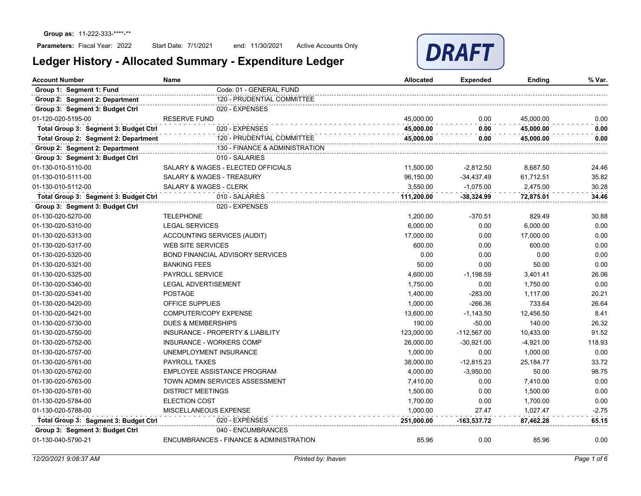

| <b>Account Number</b>                 | Name                                        | <b>Allocated</b> | <b>Expended</b> | Ending      | % Var.  |
|---------------------------------------|---------------------------------------------|------------------|-----------------|-------------|---------|
| Group 1: Segment 1: Fund              | Code: 01 - GENERAL FUND                     |                  |                 |             |         |
| Group 2: Segment 2: Department        | 120 - PRUDENTIAL COMMITTEE                  |                  |                 |             |         |
| Group 3: Segment 3: Budget Ctrl       | 020 - EXPENSES                              |                  |                 |             |         |
| 01-120-020-5195-00                    | <b>RESERVE FUND</b>                         | 45,000.00        | 0.00            | 45,000.00   | 0.00    |
| Total Group 3: Segment 3: Budget Ctrl | 020 - EXPENSES                              | 45.000.00        | 0.00            | 45.000.00   | 0.00    |
| Total Group 2: Segment 2: Department  | 120 - PRUDENTIAL COMMITTEE                  | 45,000.00        | 0.00            | 45,000.00   | 0.00    |
| Group 2: Segment 2: Department        | 130 - FINANCE & ADMINISTRATION              |                  |                 |             |         |
| Group 3: Segment 3: Budget Ctrl       | 010 - SALARIES                              |                  |                 |             |         |
| 01-130-010-5110-00                    | SALARY & WAGES - ELECTED OFFICIALS          | 11,500.00        | $-2,812.50$     | 8,687.50    | 24.46   |
| 01-130-010-5111-00                    | SALARY & WAGES - TREASURY                   | 96,150.00        | $-34,437.49$    | 61,712.51   | 35.82   |
| 01-130-010-5112-00                    | <b>SALARY &amp; WAGES - CLERK</b>           | 3,550.00         | $-1,075.00$     | 2,475.00    | 30.28   |
| Total Group 3: Segment 3: Budget Ctrl | 010 - SALARIES                              | 111,200.00       | $-38.324.99$    | 72.875.01   | 34.46   |
| Group 3: Segment 3: Budget Ctrl       | 020 - EXPENSES                              |                  |                 |             |         |
| 01-130-020-5270-00                    | <b>TELEPHONE</b>                            | 1,200.00         | $-370.51$       | 829.49      | 30.88   |
| 01-130-020-5310-00                    | <b>LEGAL SERVICES</b>                       | 6.000.00         | 0.00            | 6,000.00    | 0.00    |
| 01-130-020-5313-00                    | ACCOUNTING SERVICES (AUDIT)                 | 17,000.00        | 0.00            | 17,000.00   | 0.00    |
| 01-130-020-5317-00                    | <b>WEB SITE SERVICES</b>                    | 600.00           | 0.00            | 600.00      | 0.00    |
| 01-130-020-5320-00                    | <b>BOND FINANCIAL ADVISORY SERVICES</b>     | 0.00             | 0.00            | 0.00        | 0.00    |
| 01-130-020-5321-00                    | <b>BANKING FEES</b>                         | 50.00            | 0.00            | 50.00       | 0.00    |
| 01-130-020-5325-00                    | PAYROLL SERVICE                             | 4,600.00         | $-1,198.59$     | 3,401.41    | 26.06   |
| 01-130-020-5340-00                    | LEGAL ADVERTISEMENT                         | 1,750.00         | 0.00            | 1,750.00    | 0.00    |
| 01-130-020-5341-00                    | <b>POSTAGE</b>                              | 1,400.00         | $-283.00$       | 1,117.00    | 20.21   |
| 01-130-020-5420-00                    | OFFICE SUPPLIES                             | 1,000.00         | $-266.36$       | 733.64      | 26.64   |
| 01-130-020-5421-00                    | COMPUTER/COPY EXPENSE                       | 13,600.00        | $-1,143.50$     | 12,456.50   | 8.41    |
| 01-130-020-5730-00                    | <b>DUES &amp; MEMBERSHIPS</b>               | 190.00           | $-50.00$        | 140.00      | 26.32   |
| 01-130-020-5750-00                    | <b>INSURANCE - PROPERTY &amp; LIABILITY</b> | 123,000.00       | $-112,567.00$   | 10,433.00   | 91.52   |
| 01-130-020-5752-00                    | <b>INSURANCE - WORKERS COMP</b>             | 26,000.00        | $-30,921.00$    | $-4,921.00$ | 118.93  |
| 01-130-020-5757-00                    | UNEMPLOYMENT INSURANCE                      | 1.000.00         | 0.00            | 1,000.00    | 0.00    |
| 01-130-020-5761-00                    | <b>PAYROLL TAXES</b>                        | 38,000.00        | $-12,815.23$    | 25,184.77   | 33.72   |
| 01-130-020-5762-00                    | EMPLOYEE ASSISTANCE PROGRAM                 | 4.000.00         | $-3,950.00$     | 50.00       | 98.75   |
| 01-130-020-5763-00                    | TOWN ADMIN SERVICES ASSESSMENT              | 7,410.00         | 0.00            | 7,410.00    | 0.00    |
| 01-130-020-5781-00                    | <b>DISTRICT MEETINGS</b>                    | 1,500.00         | 0.00            | 1,500.00    | 0.00    |
| 01-130-020-5784-00                    | <b>ELECTION COST</b>                        | 1.700.00         | 0.00            | 1,700.00    | 0.00    |
| 01-130-020-5788-00                    | <b>MISCELLANEOUS EXPENSE</b>                | 1.000.00         | 27.47           | 1.027.47    | $-2.75$ |
| Total Group 3: Segment 3: Budget Ctrl | 020 - EXPENSES                              | 251,000.00       | $-163,537.72$   | 87,462.28   | 65.15   |
| Group 3: Segment 3: Budget Ctrl       | 040 - ENCUMBRANCES                          |                  |                 |             |         |
| 01-130-040-5790-21                    | ENCUMBRANCES - FINANCE & ADMINISTRATION     | 85.96            | 0.00            | 85.96       | 0.00    |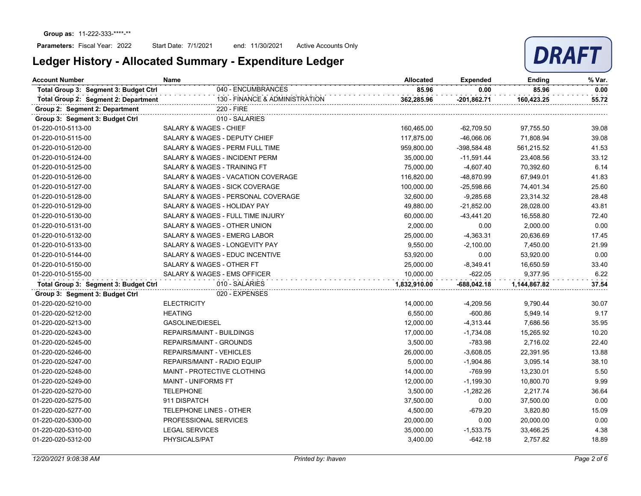

| <b>Account Number</b>                 | <b>Name</b>                             | Allocated    | <b>Expended</b> | Ending       | % Var. |
|---------------------------------------|-----------------------------------------|--------------|-----------------|--------------|--------|
| Total Group 3: Segment 3: Budget Ctrl | 040 - ENCUMBRANCES                      | 85.96        | 0.00            | 85.96        | 0.00   |
| Total Group 2: Segment 2: Department  | 130 - FINANCE & ADMINISTRATION          | 362,285.96   | $-201,862.71$   | 160,423.25   | 55.72  |
| Group 2: Segment 2: Department        | 220 - FIRE                              |              |                 |              |        |
| Group 3: Segment 3: Budget Ctrl       | 010 - SALARIES                          |              |                 |              |        |
| 01-220-010-5113-00                    | SALARY & WAGES - CHIEF                  | 160,465.00   | $-62,709.50$    | 97,755.50    | 39.08  |
| 01-220-010-5115-00                    | SALARY & WAGES - DEPUTY CHIEF           | 117,875.00   | -46,066.06      | 71,808.94    | 39.08  |
| 01-220-010-5120-00                    | SALARY & WAGES - PERM FULL TIME         | 959,800.00   | -398,584.48     | 561,215.52   | 41.53  |
| 01-220-010-5124-00                    | SALARY & WAGES - INCIDENT PERM          | 35,000.00    | $-11,591.44$    | 23,408.56    | 33.12  |
| 01-220-010-5125-00                    | <b>SALARY &amp; WAGES - TRAINING FT</b> | 75,000.00    | $-4,607.40$     | 70,392.60    | 6.14   |
| 01-220-010-5126-00                    | SALARY & WAGES - VACATION COVERAGE      | 116,820.00   | -48,870.99      | 67,949.01    | 41.83  |
| 01-220-010-5127-00                    | SALARY & WAGES - SICK COVERAGE          | 100,000.00   | $-25,598.66$    | 74,401.34    | 25.60  |
| 01-220-010-5128-00                    | SALARY & WAGES - PERSONAL COVERAGE      | 32,600.00    | $-9,285.68$     | 23,314.32    | 28.48  |
| 01-220-010-5129-00                    | SALARY & WAGES - HOLIDAY PAY            | 49,880.00    | $-21,852.00$    | 28,028.00    | 43.81  |
| 01-220-010-5130-00                    | SALARY & WAGES - FULL TIME INJURY       | 60,000.00    | $-43,441.20$    | 16,558.80    | 72.40  |
| 01-220-010-5131-00                    | SALARY & WAGES - OTHER UNION            | 2,000.00     | 0.00            | 2.000.00     | 0.00   |
| 01-220-010-5132-00                    | <b>SALARY &amp; WAGES - EMERG LABOR</b> | 25,000.00    | $-4,363.31$     | 20,636.69    | 17.45  |
| 01-220-010-5133-00                    | SALARY & WAGES - LONGEVITY PAY          | 9,550.00     | $-2,100.00$     | 7,450.00     | 21.99  |
| 01-220-010-5144-00                    | SALARY & WAGES - EDUC INCENTIVE         | 53,920.00    | 0.00            | 53,920.00    | 0.00   |
| 01-220-010-5150-00                    | SALARY & WAGES - OTHER FT               | 25,000.00    | $-8,349.41$     | 16,650.59    | 33.40  |
| 01-220-010-5155-00                    | SALARY & WAGES - EMS OFFICER            | 10,000.00    | $-622.05$       | 9,377.95     | 6.22   |
| Total Group 3: Segment 3: Budget Ctrl | 010 - SALARIES                          | 1,832,910.00 | $-688,042.18$   | 1,144,867.82 | 37.54  |
| Group 3: Segment 3: Budget Ctrl       | 020 - EXPENSES                          |              |                 |              |        |
| 01-220-020-5210-00                    | <b>ELECTRICITY</b>                      | 14,000.00    | $-4,209.56$     | 9,790.44     | 30.07  |
| 01-220-020-5212-00                    | <b>HEATING</b>                          | 6,550.00     | $-600.86$       | 5,949.14     | 9.17   |
| 01-220-020-5213-00                    | <b>GASOLINE/DIESEL</b>                  | 12,000.00    | $-4,313.44$     | 7,686.56     | 35.95  |
| 01-220-020-5243-00                    | <b>REPAIRS/MAINT - BUILDINGS</b>        | 17,000.00    | $-1,734.08$     | 15,265.92    | 10.20  |
| 01-220-020-5245-00                    | <b>REPAIRS/MAINT - GROUNDS</b>          | 3,500.00     | $-783.98$       | 2,716.02     | 22.40  |
| 01-220-020-5246-00                    | <b>REPAIRS/MAINT - VEHICLES</b>         | 26,000.00    | $-3,608.05$     | 22,391.95    | 13.88  |
| 01-220-020-5247-00                    | REPAIRS/MAINT - RADIO EQUIP             | 5,000.00     | $-1,904.86$     | 3,095.14     | 38.10  |
| 01-220-020-5248-00                    | MAINT - PROTECTIVE CLOTHING             | 14,000.00    | $-769.99$       | 13,230.01    | 5.50   |
| 01-220-020-5249-00                    | <b>MAINT - UNIFORMS FT</b>              | 12,000.00    | $-1,199.30$     | 10,800.70    | 9.99   |
| 01-220-020-5270-00                    | <b>TELEPHONE</b>                        | 3,500.00     | $-1,282.26$     | 2,217.74     | 36.64  |
| 01-220-020-5275-00                    | 911 DISPATCH                            | 37,500.00    | 0.00            | 37,500.00    | 0.00   |
| 01-220-020-5277-00                    | <b>TELEPHONE LINES - OTHER</b>          | 4,500.00     | $-679.20$       | 3,820.80     | 15.09  |
| 01-220-020-5300-00                    | PROFESSIONAL SERVICES                   | 20,000.00    | 0.00            | 20,000.00    | 0.00   |
| 01-220-020-5310-00                    | <b>LEGAL SERVICES</b>                   | 35,000.00    | $-1,533.75$     | 33,466.25    | 4.38   |
| 01-220-020-5312-00                    | PHYSICALS/PAT                           | 3,400.00     | $-642.18$       | 2,757.82     | 18.89  |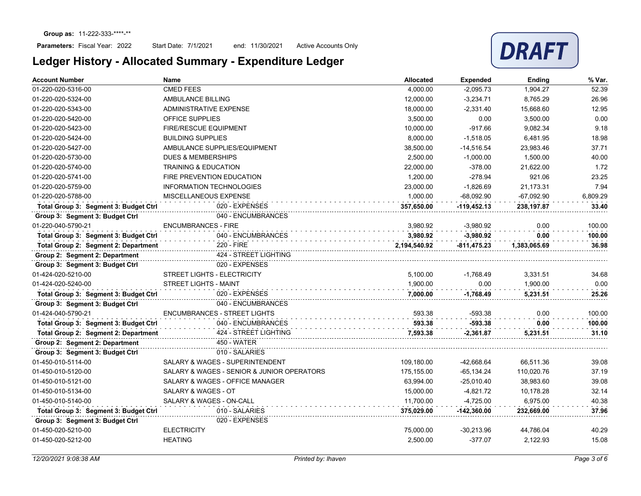

| <b>Account Number</b>                 | <b>Name</b>                                | <b>Allocated</b> | <b>Expended</b> | Ending       | % Var.   |
|---------------------------------------|--------------------------------------------|------------------|-----------------|--------------|----------|
| 01-220-020-5316-00                    | <b>CMED FEES</b>                           | 4,000.00         | $-2,095.73$     | 1,904.27     | 52.39    |
| 01-220-020-5324-00                    | AMBULANCE BILLING                          | 12,000.00        | $-3,234.71$     | 8,765.29     | 26.96    |
| 01-220-020-5343-00                    | ADMINISTRATIVE EXPENSE                     | 18,000.00        | $-2,331.40$     | 15,668.60    | 12.95    |
| 01-220-020-5420-00                    | OFFICE SUPPLIES                            | 3,500.00         | 0.00            | 3,500.00     | 0.00     |
| 01-220-020-5423-00                    | <b>FIRE/RESCUE EQUIPMENT</b>               | 10,000.00        | $-917.66$       | 9,082.34     | 9.18     |
| 01-220-020-5424-00                    | <b>BUILDING SUPPLIES</b>                   | 8.000.00         | $-1,518.05$     | 6,481.95     | 18.98    |
| 01-220-020-5427-00                    | AMBULANCE SUPPLIES/EQUIPMENT               | 38,500.00        | $-14,516.54$    | 23,983.46    | 37.71    |
| 01-220-020-5730-00                    | <b>DUES &amp; MEMBERSHIPS</b>              | 2,500.00         | $-1,000.00$     | 1,500.00     | 40.00    |
| 01-220-020-5740-00                    | TRAINING & EDUCATION                       | 22,000.00        | $-378.00$       | 21,622.00    | 1.72     |
| 01-220-020-5741-00                    | FIRE PREVENTION EDUCATION                  | 1,200.00         | $-278.94$       | 921.06       | 23.25    |
| 01-220-020-5759-00                    | <b>INFORMATION TECHNOLOGIES</b>            | 23,000.00        | $-1,826.69$     | 21,173.31    | 7.94     |
| 01-220-020-5788-00                    | MISCELLANEOUS EXPENSE                      | 1,000.00         | $-68,092.90$    | $-67,092.90$ | 6,809.29 |
| Total Group 3: Segment 3: Budget Ctrl | 020 - EXPENSES                             | 357.650.00       | $-119.452.13$   | 238.197.87   | 33.40    |
| Group 3: Segment 3: Budget Ctrl       | 040 - ENCUMBRANCES                         |                  |                 |              |          |
| 01-220-040-5790-21                    | <b>ENCUMBRANCES - FIRE</b>                 | 3,980.92         | $-3,980.92$     | 0.00         | 100.00   |
| Total Group 3: Segment 3: Budget Ctrl | 040 - ENCUMBRANCES                         | 3.980.92         | $-3.980.92$     | 0.00         | 100.00   |
| Total Group 2: Segment 2: Department  | 220 - FIRE                                 | 2,194,540.92     | $-811,475.23$   | 1,383,065.69 | 36.98    |
| Group 2: Segment 2: Department        | 424 - STREET LIGHTING                      |                  |                 |              |          |
| Group 3: Segment 3: Budget Ctrl       | 020 - EXPENSES                             |                  |                 |              |          |
| 01-424-020-5210-00                    | <b>STREET LIGHTS - ELECTRICITY</b>         | 5.100.00         | $-1,768.49$     | 3,331.51     | 34.68    |
| 01-424-020-5240-00                    | STREET LIGHTS - MAINT                      | 1,900.00         | 0.00            | 1,900.00     | 0.00     |
| Total Group 3: Segment 3: Budget Ctrl | 020 - EXPENSES                             | 7.000.00         | -1,768.49       | 5,231.51     | 25.26    |
| Group 3: Segment 3: Budget Ctrl       | 040 - ENCUMBRANCES                         |                  |                 |              |          |
| 01-424-040-5790-21                    | ENCUMBRANCES - STREET LIGHTS               | 593.38           | $-593.38$       | 0.00         | 100.00   |
| Total Group 3: Segment 3: Budget Ctrl | 040 - ENCUMBRANCES                         | 593.38           | $-593.38$       | 0.00         | 100.00   |
| Total Group 2: Segment 2: Department  | 424 - STREET LIGHTING                      | 7,593.38         | $-2,361.87$     | 5,231.51     | 31.10    |
| Group 2: Segment 2: Department        | 450 - WATER                                |                  |                 |              |          |
| Group 3: Segment 3: Budget Ctrl       | 010 - SALARIES                             |                  |                 |              |          |
| 01-450-010-5114-00                    | <b>SALARY &amp; WAGES - SUPERINTENDENT</b> | 109,180.00       | -42,668.64      | 66,511.36    | 39.08    |
| 01-450-010-5120-00                    | SALARY & WAGES - SENIOR & JUNIOR OPERATORS | 175,155.00       | $-65, 134.24$   | 110,020.76   | 37.19    |
| 01-450-010-5121-00                    | SALARY & WAGES - OFFICE MANAGER            | 63,994.00        | $-25,010.40$    | 38,983.60    | 39.08    |
| 01-450-010-5134-00                    | SALARY & WAGES - OT                        | 15,000.00        | $-4,821.72$     | 10,178.28    | 32.14    |
| 01-450-010-5140-00                    | SALARY & WAGES - ON-CALL                   | 11,700.00        | $-4,725.00$     | 6,975.00     | 40.38    |
| Total Group 3: Segment 3: Budget Ctrl | 010 - SALARIES                             | 375,029.00       | $-142,360.00$   | 232,669.00   | 37.96    |
| Group 3: Segment 3: Budget Ctrl       | 020 - EXPENSES                             |                  |                 |              |          |
| 01-450-020-5210-00                    | <b>ELECTRICITY</b>                         | 75,000.00        | $-30,213.96$    | 44,786.04    | 40.29    |
| 01-450-020-5212-00                    | <b>HEATING</b>                             | 2,500.00         | -377.07         | 2,122.93     | 15.08    |
|                                       |                                            |                  |                 |              |          |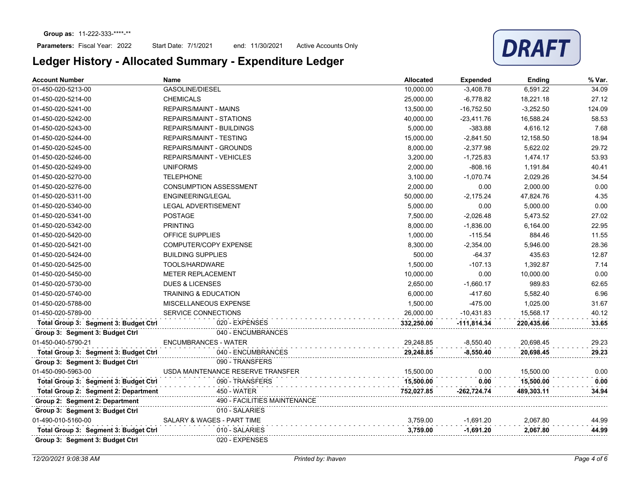

| <b>Account Number</b>                 | Name                                   | Allocated  | <b>Expended</b> | <b>Ending</b> | % Var. |
|---------------------------------------|----------------------------------------|------------|-----------------|---------------|--------|
| 01-450-020-5213-00                    | <b>GASOLINE/DIESEL</b>                 | 10,000.00  | $-3,408.78$     | 6,591.22      | 34.09  |
| 01-450-020-5214-00                    | <b>CHEMICALS</b>                       | 25,000.00  | $-6.778.82$     | 18,221.18     | 27.12  |
| 01-450-020-5241-00                    | <b>REPAIRS/MAINT - MAINS</b>           | 13,500.00  | $-16,752.50$    | $-3,252.50$   | 124.09 |
| 01-450-020-5242-00                    | REPAIRS/MAINT - STATIONS               | 40,000.00  | $-23,411.76$    | 16,588.24     | 58.53  |
| 01-450-020-5243-00                    | <b>REPAIRS/MAINT - BUILDINGS</b>       | 5,000.00   | $-383.88$       | 4,616.12      | 7.68   |
| 01-450-020-5244-00                    | REPAIRS/MAINT - TESTING                | 15,000.00  | $-2,841.50$     | 12,158.50     | 18.94  |
| 01-450-020-5245-00                    | <b>REPAIRS/MAINT - GROUNDS</b>         | 8,000.00   | $-2,377.98$     | 5,622.02      | 29.72  |
| 01-450-020-5246-00                    | <b>REPAIRS/MAINT - VEHICLES</b>        | 3,200.00   | $-1,725.83$     | 1,474.17      | 53.93  |
| 01-450-020-5249-00                    | <b>UNIFORMS</b>                        | 2,000.00   | $-808.16$       | 1,191.84      | 40.41  |
| 01-450-020-5270-00                    | <b>TELEPHONE</b>                       | 3,100.00   | $-1,070.74$     | 2,029.26      | 34.54  |
| 01-450-020-5276-00                    | <b>CONSUMPTION ASSESSMENT</b>          | 2,000.00   | 0.00            | 2,000.00      | 0.00   |
| 01-450-020-5311-00                    | <b>ENGINEERING/LEGAL</b>               | 50,000.00  | $-2,175.24$     | 47,824.76     | 4.35   |
| 01-450-020-5340-00                    | <b>LEGAL ADVERTISEMENT</b>             | 5,000.00   | 0.00            | 5,000.00      | 0.00   |
| 01-450-020-5341-00                    | <b>POSTAGE</b>                         | 7,500.00   | $-2,026.48$     | 5,473.52      | 27.02  |
| 01-450-020-5342-00                    | <b>PRINTING</b>                        | 8,000.00   | $-1,836.00$     | 6,164.00      | 22.95  |
| 01-450-020-5420-00                    | OFFICE SUPPLIES                        | 1,000.00   | $-115.54$       | 884.46        | 11.55  |
| 01-450-020-5421-00                    | <b>COMPUTER/COPY EXPENSE</b>           | 8,300.00   | $-2,354.00$     | 5,946.00      | 28.36  |
| 01-450-020-5424-00                    | <b>BUILDING SUPPLIES</b>               | 500.00     | $-64.37$        | 435.63        | 12.87  |
| 01-450-020-5425-00                    | TOOLS/HARDWARE                         | 1,500.00   | $-107.13$       | 1,392.87      | 7.14   |
| 01-450-020-5450-00                    | <b>METER REPLACEMENT</b>               | 10,000.00  | 0.00            | 10,000.00     | 0.00   |
| 01-450-020-5730-00                    | <b>DUES &amp; LICENSES</b>             | 2,650.00   | $-1,660.17$     | 989.83        | 62.65  |
| 01-450-020-5740-00                    | <b>TRAINING &amp; EDUCATION</b>        | 6,000.00   | $-417.60$       | 5,582.40      | 6.96   |
| 01-450-020-5788-00                    | MISCELLANEOUS EXPENSE                  | 1,500.00   | $-475.00$       | 1,025.00      | 31.67  |
| 01-450-020-5789-00                    | <b>SERVICE CONNECTIONS</b>             | 26,000.00  | $-10,431.83$    | 15,568.17     | 40.12  |
| Total Group 3: Segment 3: Budget Ctrl | 020 - EXPENSES                         | 332,250.00 | $-111,814.34$   | 220,435.66    | 33.65  |
| Group 3: Segment 3: Budget Ctrl       | 040 - ENCUMBRANCES                     |            |                 |               |        |
| 01-450-040-5790-21                    | <b>ENCUMBRANCES - WATER</b>            | 29.248.85  | $-8,550.40$     | 20,698.45     | 29.23  |
| Total Group 3: Segment 3: Budget Ctrl | 040 - ENCUMBRANCES                     | 29,248.85  | $-8,550.40$     | 20,698.45     | 29.23  |
| Group 3: Segment 3: Budget Ctrl       | 090 - TRANSFERS                        |            |                 |               |        |
| 01-450-090-5963-00                    | USDA MAINTENANCE RESERVE TRANSFER<br>. | 15,500.00  | 0.00            | 15,500.00     | 0.00   |
| Total Group 3: Segment 3: Budget Ctrl | 090 - TRANSFERS<br>.                   | 15,500.00  | 0.00            | 15,500.00     | 0.00   |
| Total Group 2: Segment 2: Department  | 450 - WATER                            | 752,027.85 | -262,724.74     | 489,303.11    | 34.94  |
| Group 2: Segment 2: Department        | 490 - FACILITIES MAINTENANCE           |            |                 |               |        |
| Group 3: Segment 3: Budget Ctrl       | 010 - SALARIES                         |            |                 |               |        |
| 01-490-010-5160-00                    | SALARY & WAGES - PART TIME             | 3,759.00   | $-1,691.20$     | 2,067.80      | 44.99  |
| Total Group 3: Segment 3: Budget Ctrl | 010 - SALARIES                         | 3,759.00   | $-1,691.20$     | 2.067.80      | 44.99  |
| Group 3: Segment 3: Budget Ctrl       | 020 - EXPENSES                         |            |                 |               |        |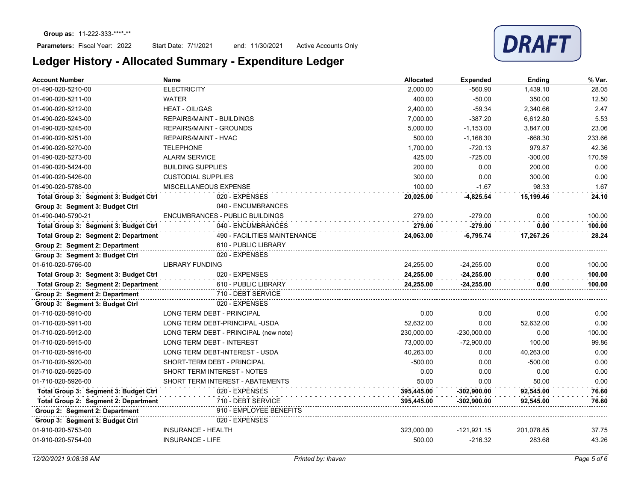## Parameters: Fiscal Year: 2022

Start Date: 7/1/2021 end: 11/30/2021 Active Accounts Only

| Ledger History - Allocated Summary - Expenditure Ledger |  |
|---------------------------------------------------------|--|
|---------------------------------------------------------|--|

| <b>Account Number</b>                 | <b>Name</b>                           | <b>Allocated</b> | <b>Expended</b> | <b>Ending</b> | % Var. |
|---------------------------------------|---------------------------------------|------------------|-----------------|---------------|--------|
| 01-490-020-5210-00                    | <b>ELECTRICITY</b>                    | 2,000.00         | $-560.90$       | 1,439.10      | 28.05  |
| 01-490-020-5211-00                    | <b>WATER</b>                          | 400.00           | $-50.00$        | 350.00        | 12.50  |
| 01-490-020-5212-00                    | <b>HEAT - OIL/GAS</b>                 | 2,400.00         | $-59.34$        | 2,340.66      | 2.47   |
| 01-490-020-5243-00                    | REPAIRS/MAINT - BUILDINGS             | 7,000.00         | $-387.20$       | 6,612.80      | 5.53   |
| 01-490-020-5245-00                    | <b>REPAIRS/MAINT - GROUNDS</b>        | 5,000.00         | $-1,153.00$     | 3,847.00      | 23.06  |
| 01-490-020-5251-00                    | REPAIRS/MAINT - HVAC                  | 500.00           | $-1,168.30$     | $-668.30$     | 233.66 |
| 01-490-020-5270-00                    | <b>TELEPHONE</b>                      | 1.700.00         | $-720.13$       | 979.87        | 42.36  |
| 01-490-020-5273-00                    | <b>ALARM SERVICE</b>                  | 425.00           | $-725.00$       | $-300.00$     | 170.59 |
| 01-490-020-5424-00                    | <b>BUILDING SUPPLIES</b>              | 200.00           | 0.00            | 200.00        | 0.00   |
| 01-490-020-5426-00                    | <b>CUSTODIAL SUPPLIES</b>             | 300.00           | 0.00            | 300.00        | 0.00   |
| 01-490-020-5788-00                    | MISCELLANEOUS EXPENSE                 | 100.00           | $-1.67$         | 98.33         | 1.67   |
| Total Group 3: Segment 3: Budget Ctrl | 020 - EXPENSES                        | 20,025.00        | $-4,825.54$     | 15,199.46     | 24.10  |
| Group 3: Segment 3: Budget Ctrl       | 040 - ENCUMBRANCES                    |                  |                 |               |        |
| 01-490-040-5790-21                    | ENCUMBRANCES - PUBLIC BUILDINGS       | 279.00           | $-279.00$       | 0.00          | 100.00 |
| Total Group 3: Segment 3: Budget Ctrl | 040 - ENCUMBRANCES                    | 279.00           | $-279.00$       | 0.00          | 100.00 |
| Total Group 2: Segment 2: Department  | 490 - FACILITIES MAINTENANCE          | 24,063.00        | $-6,795.74$     | 17,267.26     | 28.24  |
| Group 2: Segment 2: Department        | 610 - PUBLIC LIBRARY                  |                  |                 |               |        |
| Group 3: Segment 3: Budget Ctrl       | 020 - EXPENSES                        |                  |                 |               |        |
| 01-610-020-5766-00                    | <b>LIBRARY FUNDING</b>                | 24,255.00        | $-24,255.00$    | 0.00          | 100.00 |
| Total Group 3: Segment 3: Budget Ctrl | 020 - EXPENSES                        | 24,255.00        | $-24,255.00$    | 0.00          | 100.00 |
| Total Group 2: Segment 2: Department  | 610 - PUBLIC LIBRARY                  | 24,255.00        | -24,255.00      | 0.00          | 100.00 |
| Group 2: Segment 2: Department        | 710 - DEBT SERVICE                    |                  |                 |               |        |
| Group 3: Segment 3: Budget Ctrl       | 020 - EXPENSES                        |                  |                 |               |        |
| 01-710-020-5910-00                    | LONG TERM DEBT - PRINCIPAL            | 0.00             | 0.00            | 0.00          | 0.00   |
| 01-710-020-5911-00                    | LONG TERM DEBT-PRINCIPAL -USDA        | 52,632.00        | 0.00            | 52,632.00     | 0.00   |
| 01-710-020-5912-00                    | LONG TERM DEBT - PRINCIPAL (new note) | 230,000.00       | $-230,000.00$   | 0.00          | 100.00 |
| 01-710-020-5915-00                    | LONG TERM DEBT - INTEREST             | 73,000.00        | $-72,900.00$    | 100.00        | 99.86  |
| 01-710-020-5916-00                    | LONG TERM DEBT-INTEREST - USDA        | 40,263.00        | 0.00            | 40,263.00     | 0.00   |
| 01-710-020-5920-00                    | SHORT-TERM DEBT - PRINCIPAL           | $-500.00$        | 0.00            | $-500.00$     | 0.00   |
| 01-710-020-5925-00                    | SHORT TERM INTEREST - NOTES           | 0.00             | 0.00            | 0.00          | 0.00   |
| 01-710-020-5926-00                    | SHORT TERM INTEREST - ABATEMENTS      | 50.00            | 0.00            | 50.00         | 0.00   |
| Total Group 3: Segment 3: Budget Ctrl | 020 - EXPENSES                        | 395,445.00       | $-302,900.00$   | 92,545.00     | 76.60  |
| Total Group 2: Segment 2: Department  | 710 - DEBT SERVICE                    | 395,445.00       | $-302,900.00$   | 92,545.00     | 76.60  |
| Group 2: Segment 2: Department        | 910 - EMPLOYEE BENEFITS               |                  |                 |               |        |
| Group 3: Segment 3: Budget Ctrl       | 020 - EXPENSES                        |                  |                 |               |        |
| 01-910-020-5753-00                    | <b>INSURANCE - HEALTH</b>             | 323,000.00       | $-121,921.15$   | 201,078.85    | 37.75  |
| 01-910-020-5754-00                    | <b>INSURANCE - LIFE</b>               | 500.00           | $-216.32$       | 283.68        | 43.26  |